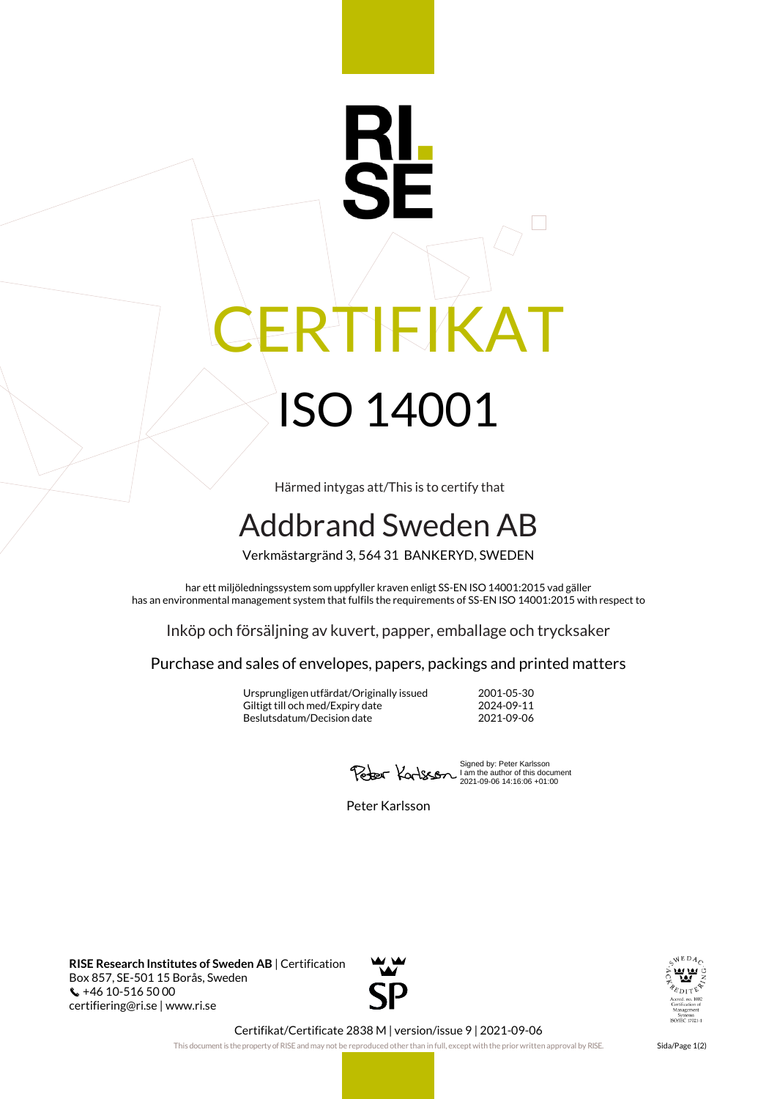## RI RTIFIKAT ISO 14001

Härmed intygas att/This is to certify that

## Addbrand Sweden AB

Verkmästargränd 3, 564 31 BANKERYD, SWEDEN

har ett miljöledningssystem som uppfyller kraven enligt SS-EN ISO 14001:2015 vad gäller has an environmental management system that fulfils the requirements of SS-EN ISO 14001:2015 with respect to

Inköp och försäljning av kuvert, papper, emballage och trycksaker

Purchase and sales of envelopes, papers, packings and printed matters

Ursprungligen utfärdat/Originally issued 2001-05-30 Giltigt till och med/Expiry date Beslutsdatum/Decision date 2021-09-06

Signed by: Peter Karlsson I am the author of this document 2021-09-06 14:16:06 +01:00

Peter Karlsson

**RISE Research Institutes of Sweden AB** | Certification Box 857, SE-501 15 Borås, Sweden +46 10-516 50 00 certifiering@ri.se | www.ri.se





Certifikat/Certificate 2838 M | version/issue 9 | 2021-09-06

This document is the property of RISE and may not be reproduced other than in full, except with the prior written approval by RISE. Sida/Page 1(2)